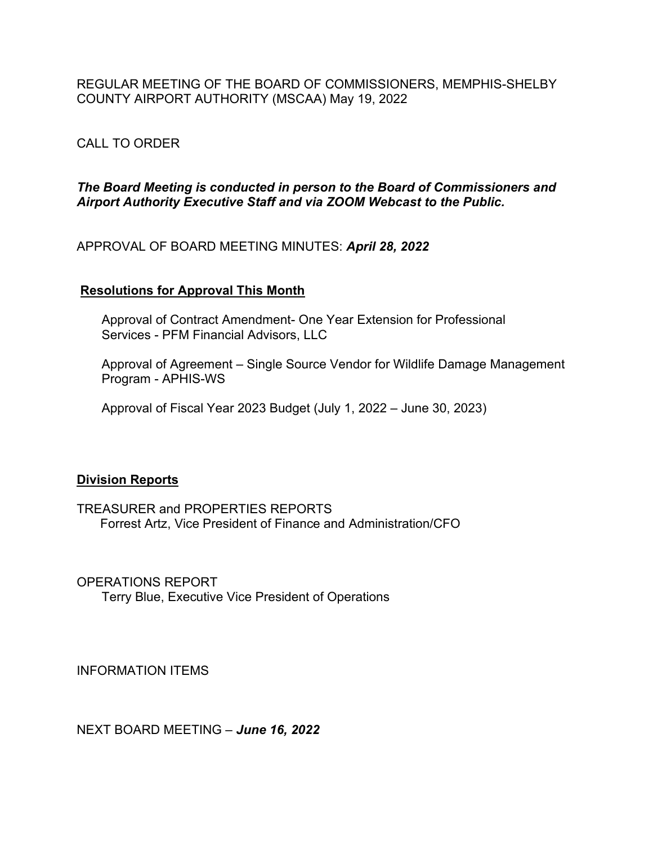REGULAR MEETING OF THE BOARD OF COMMISSIONERS, MEMPHIS-SHELBY COUNTY AIRPORT AUTHORITY (MSCAA) May 19, 2022

# CALL TO ORDER

### *The Board Meeting is conducted in person to the Board of Commissioners and Airport Authority Executive Staff and via ZOOM Webcast to the Public.*

APPROVAL OF BOARD MEETING MINUTES: *April 28, 2022*

### **Resolutions for Approval This Month**

 Approval of Contract Amendment- One Year Extension for Professional Services - PFM Financial Advisors, LLC

 Approval of Agreement – Single Source Vendor for Wildlife Damage Management Program - APHIS-WS

Approval of Fiscal Year 2023 Budget (July 1, 2022 – June 30, 2023)

## **Division Reports**

TREASURER and PROPERTIES REPORTS Forrest Artz, Vice President of Finance and Administration/CFO

OPERATIONS REPORT Terry Blue, Executive Vice President of Operations

INFORMATION ITEMS

NEXT BOARD MEETING – *June 16, 2022*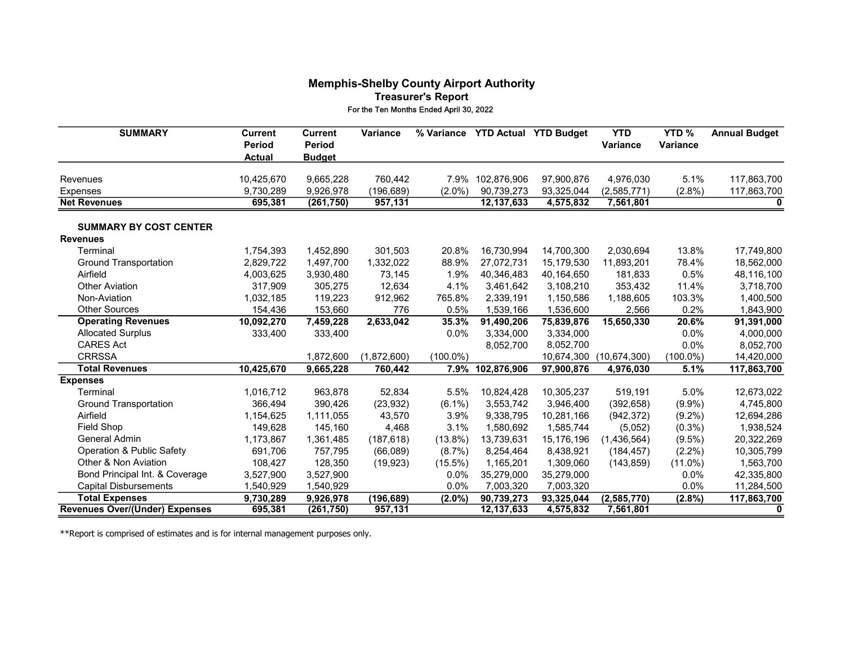#### Memphis-Shelby County Airport Authority Treasurer's Report For the Ten Months Ended April 30, 2022

| <b>SUMMARY</b>                        | <b>Current</b><br><b>Period</b><br><b>Actual</b> | <b>Current</b><br><b>Period</b><br><b>Budget</b> | Variance    | % Variance  | <b>YTD Actual</b> | <b>YTD Budget</b> | <b>YTD</b><br><b>Variance</b> | YTD%<br><b>Variance</b> | <b>Annual Budget</b> |
|---------------------------------------|--------------------------------------------------|--------------------------------------------------|-------------|-------------|-------------------|-------------------|-------------------------------|-------------------------|----------------------|
| Revenues                              | 10,425,670                                       | 9,665,228                                        | 760,442     | 7.9%        | 102,876,906       | 97,900,876        | 4,976,030                     | 5.1%                    | 117,863,700          |
| Expenses                              | 9,730,289                                        | 9,926,978                                        | (196, 689)  | $(2.0\%)$   | 90,739,273        | 93,325,044        | (2,585,771)                   | $(2.8\%)$               | 117,863,700          |
| <b>Net Revenues</b>                   | 695,381                                          | (261, 750)                                       | 957,131     |             | 12, 137, 633      | 4,575,832         | 7,561,801                     |                         | 0                    |
| <b>SUMMARY BY COST CENTER</b>         |                                                  |                                                  |             |             |                   |                   |                               |                         |                      |
| <b>Revenues</b>                       |                                                  |                                                  |             |             |                   |                   |                               |                         |                      |
| Terminal                              | 1,754,393                                        | 1,452,890                                        | 301,503     | 20.8%       | 16,730,994        | 14,700,300        | 2,030,694                     | 13.8%                   | 17,749,800           |
| <b>Ground Transportation</b>          | 2,829,722                                        | 1,497,700                                        | 1,332,022   | 88.9%       | 27,072,731        | 15,179,530        | 11,893,201                    | 78.4%                   | 18,562,000           |
| Airfield                              | 4,003,625                                        | 3,930,480                                        | 73,145      | 1.9%        | 40,346,483        | 40,164,650        | 181,833                       | 0.5%                    | 48,116,100           |
| <b>Other Aviation</b>                 | 317,909                                          | 305,275                                          | 12,634      | 4.1%        | 3,461,642         | 3,108,210         | 353,432                       | 11.4%                   | 3,718,700            |
| Non-Aviation                          | 1,032,185                                        | 119,223                                          | 912,962     | 765.8%      | 2,339,191         | 1,150,586         | 1,188,605                     | 103.3%                  | 1,400,500            |
| <b>Other Sources</b>                  | 154,436                                          | 153,660                                          | 776         | 0.5%        | 1,539,166         | 1,536,600         | 2,566                         | 0.2%                    | 1,843,900            |
| <b>Operating Revenues</b>             | 10,092,270                                       | 7,459,228                                        | 2,633,042   | 35.3%       | 91,490,206        | 75,839,876        | 15,650,330                    | 20.6%                   | 91,391,000           |
| <b>Allocated Surplus</b>              | 333,400                                          | 333,400                                          |             | 0.0%        | 3,334,000         | 3,334,000         |                               | 0.0%                    | 4,000,000            |
| <b>CARES Act</b>                      |                                                  |                                                  |             |             | 8,052,700         | 8,052,700         |                               | 0.0%                    | 8,052,700            |
| <b>CRRSSA</b>                         |                                                  | 1,872,600                                        | (1,872,600) | $(100.0\%)$ |                   | 10,674,300        | (10, 674, 300)                | $(100.0\%)$             | 14,420,000           |
| <b>Total Revenues</b>                 | 10,425,670                                       | 9,665,228                                        | 760,442     | 7.9%        | 102,876,906       | 97,900,876        | 4,976,030                     | 5.1%                    | 117,863,700          |
| <b>Expenses</b>                       |                                                  |                                                  |             |             |                   |                   |                               |                         |                      |
| Terminal                              | 1,016,712                                        | 963,878                                          | 52,834      | 5.5%        | 10,824,428        | 10,305,237        | 519,191                       | 5.0%                    | 12,673,022           |
| <b>Ground Transportation</b>          | 366,494                                          | 390,426                                          | (23, 932)   | $(6.1\%)$   | 3,553,742         | 3,946,400         | (392, 658)                    | $(9.9\%)$               | 4,745,800            |
| Airfield                              | 1,154,625                                        | 1,111,055                                        | 43,570      | 3.9%        | 9,338,795         | 10,281,166        | (942, 372)                    | $(9.2\%)$               | 12,694,286           |
| Field Shop                            | 149,628                                          | 145,160                                          | 4,468       | 3.1%        | 1,580,692         | 1,585,744         | (5,052)                       | $(0.3\%)$               | 1,938,524            |
| General Admin                         | 1,173,867                                        | 1,361,485                                        | (187, 618)  | $(13.8\%)$  | 13,739,631        | 15,176,196        | (1,436,564)                   | $(9.5\%)$               | 20,322,269           |
| <b>Operation &amp; Public Safety</b>  | 691,706                                          | 757,795                                          | (66,089)    | $(8.7\%)$   | 8,254,464         | 8,438,921         | (184, 457)                    | $(2.2\%)$               | 10,305,799           |
| Other & Non Aviation                  | 108,427                                          | 128,350                                          | (19, 923)   | $(15.5\%)$  | 1,165,201         | 1,309,060         | (143, 859)                    | $(11.0\%)$              | 1,563,700            |
| Bond Principal Int. & Coverage        | 3,527,900                                        | 3,527,900                                        |             | $0.0\%$     | 35,279,000        | 35,279,000        |                               | 0.0%                    | 42,335,800           |
| <b>Capital Disbursements</b>          | 1,540,929                                        | 1,540,929                                        |             | 0.0%        | 7,003,320         | 7,003,320         |                               | 0.0%                    | 11,284,500           |
| <b>Total Expenses</b>                 | 9,730,289                                        | 9,926,978                                        | (196, 689)  | (2.0%)      | 90,739,273        | 93,325,044        | (2,585,770)                   | $(2.8\%)$               | 117,863,700          |
| <b>Revenues Over/(Under) Expenses</b> | 695,381                                          | (261, 750)                                       | 957,131     |             | 12,137,633        | 4,575,832         | 7,561,801                     |                         | 0                    |

\*\*Report is comprised of estimates and is for internal management purposes only.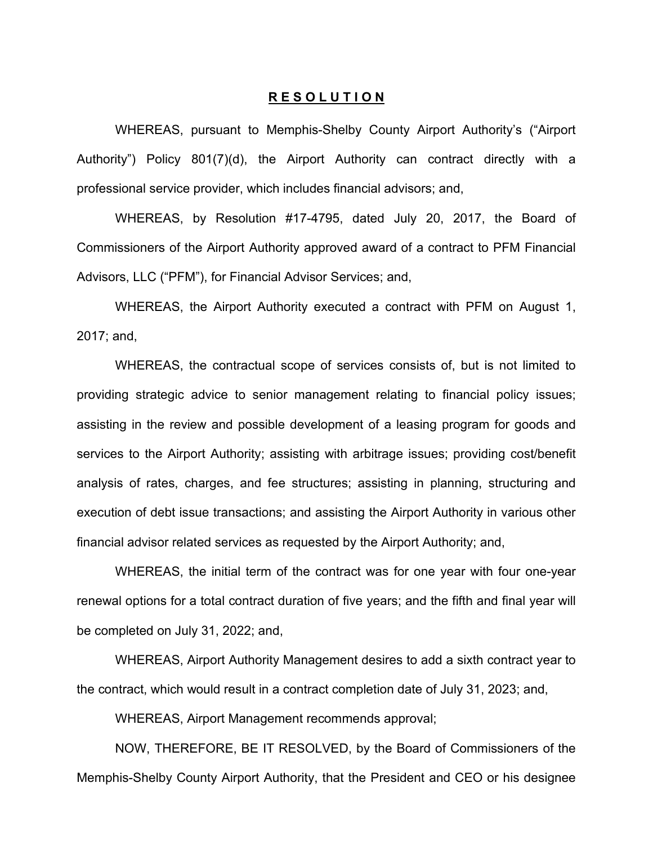#### **R E S O L U T I O N**

WHEREAS, pursuant to Memphis-Shelby County Airport Authority's ("Airport Authority") Policy 801(7)(d), the Airport Authority can contract directly with a professional service provider, which includes financial advisors; and,

WHEREAS, by Resolution #17-4795, dated July 20, 2017, the Board of Commissioners of the Airport Authority approved award of a contract to PFM Financial Advisors, LLC ("PFM"), for Financial Advisor Services; and,

WHEREAS, the Airport Authority executed a contract with PFM on August 1, 2017; and,

WHEREAS, the contractual scope of services consists of, but is not limited to providing strategic advice to senior management relating to financial policy issues; assisting in the review and possible development of a leasing program for goods and services to the Airport Authority; assisting with arbitrage issues; providing cost/benefit analysis of rates, charges, and fee structures; assisting in planning, structuring and execution of debt issue transactions; and assisting the Airport Authority in various other financial advisor related services as requested by the Airport Authority; and,

WHEREAS, the initial term of the contract was for one year with four one-year renewal options for a total contract duration of five years; and the fifth and final year will be completed on July 31, 2022; and,

WHEREAS, Airport Authority Management desires to add a sixth contract year to the contract, which would result in a contract completion date of July 31, 2023; and,

WHEREAS, Airport Management recommends approval;

NOW, THEREFORE, BE IT RESOLVED, by the Board of Commissioners of the Memphis-Shelby County Airport Authority, that the President and CEO or his designee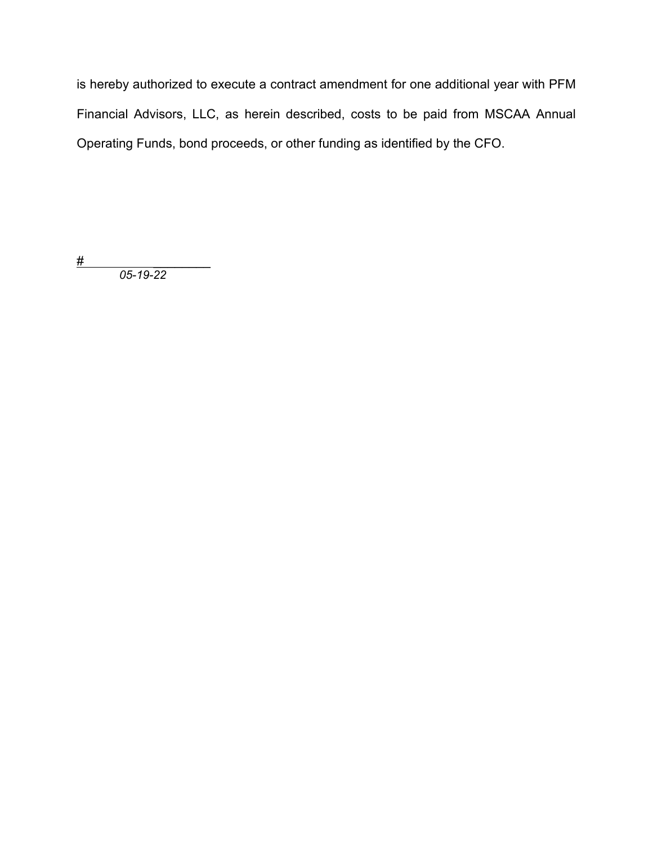is hereby authorized to execute a contract amendment for one additional year with PFM Financial Advisors, LLC, as herein described, costs to be paid from MSCAA Annual Operating Funds, bond proceeds, or other funding as identified by the CFO.

# \_\_\_\_\_\_\_\_

 *05-19-22*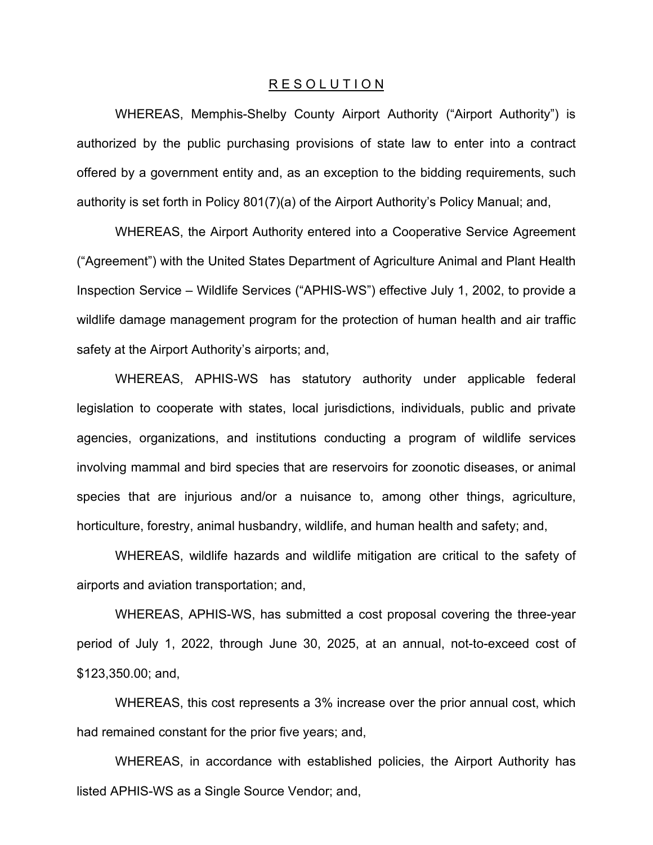#### R E S O L U T I O N

WHEREAS, Memphis-Shelby County Airport Authority ("Airport Authority") is authorized by the public purchasing provisions of state law to enter into a contract offered by a government entity and, as an exception to the bidding requirements, such authority is set forth in Policy 801(7)(a) of the Airport Authority's Policy Manual; and,

WHEREAS, the Airport Authority entered into a Cooperative Service Agreement ("Agreement") with the United States Department of Agriculture Animal and Plant Health Inspection Service – Wildlife Services ("APHIS-WS") effective July 1, 2002, to provide a wildlife damage management program for the protection of human health and air traffic safety at the Airport Authority's airports; and,

WHEREAS, APHIS-WS has statutory authority under applicable federal legislation to cooperate with states, local jurisdictions, individuals, public and private agencies, organizations, and institutions conducting a program of wildlife services involving mammal and bird species that are reservoirs for zoonotic diseases, or animal species that are injurious and/or a nuisance to, among other things, agriculture, horticulture, forestry, animal husbandry, wildlife, and human health and safety; and,

WHEREAS, wildlife hazards and wildlife mitigation are critical to the safety of airports and aviation transportation; and,

 WHEREAS, APHIS-WS, has submitted a cost proposal covering the three-year period of July 1, 2022, through June 30, 2025, at an annual, not-to-exceed cost of \$123,350.00; and,

WHEREAS, this cost represents a 3% increase over the prior annual cost, which had remained constant for the prior five years; and,

 WHEREAS, in accordance with established policies, the Airport Authority has listed APHIS-WS as a Single Source Vendor; and,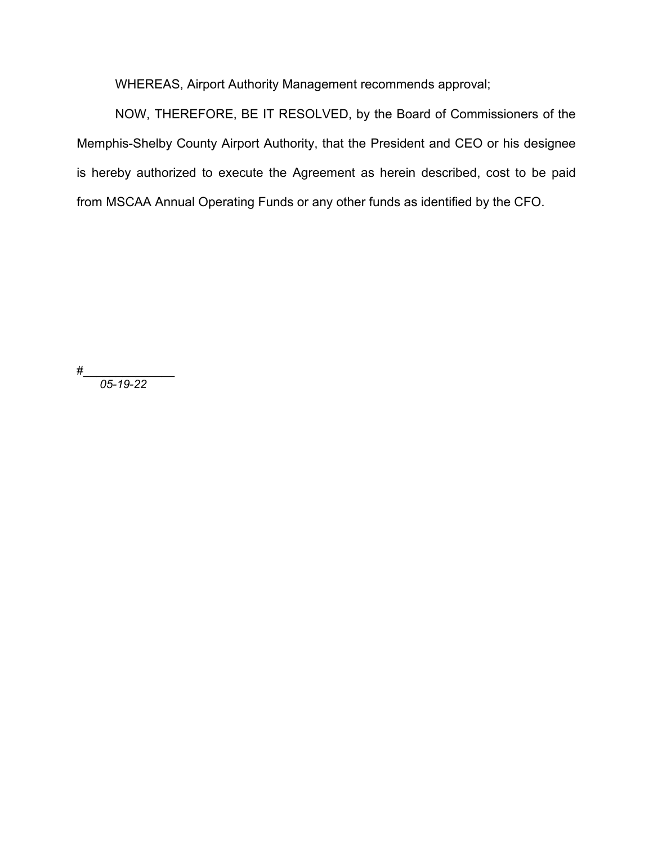WHEREAS, Airport Authority Management recommends approval;

NOW, THEREFORE, BE IT RESOLVED, by the Board of Commissioners of the Memphis-Shelby County Airport Authority, that the President and CEO or his designee is hereby authorized to execute the Agreement as herein described, cost to be paid from MSCAA Annual Operating Funds or any other funds as identified by the CFO.

#\_\_\_\_\_\_\_\_\_\_\_\_\_\_

*05-19-22*